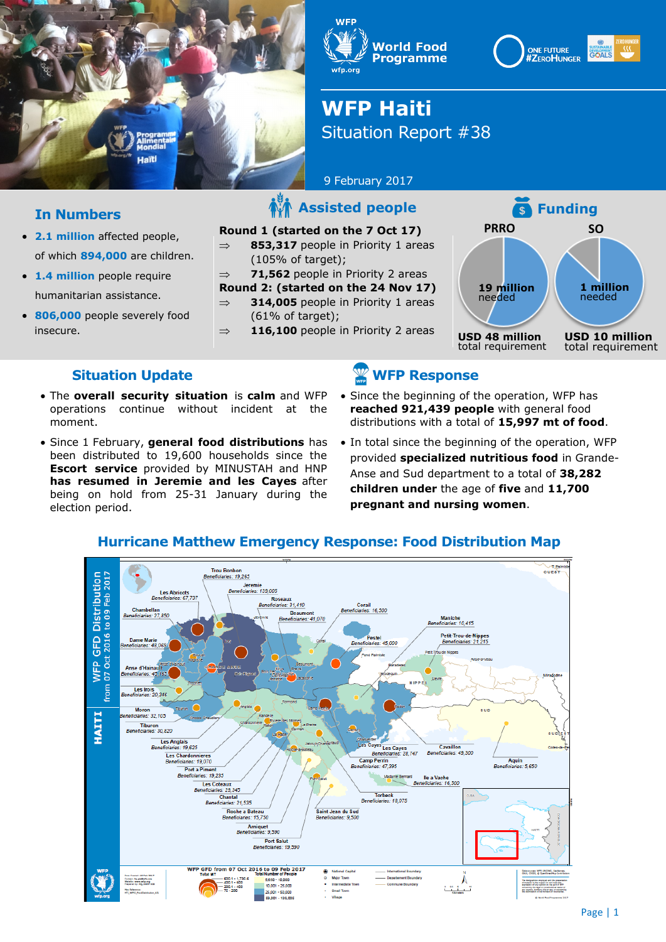

**WFP World Food Programme** wfp.org

#### **ONE FUTURE GOALS #ZEROHUNGER**



# **WFP Haiti** Situation Report #38

9 February 2017

#### **Round 1 (started on the 7 Oct 17)**

 $\Rightarrow$  **853,317** people in Priority 1 areas (105% of target);

 $\Rightarrow$  **71,562** people in Priority 2 areas

- **Round 2: (started on the 24 Nov 17)**   $\Rightarrow$  **314,005** people in Priority 1 areas
	- $(61\% \text{ of target})$ :
- $\Rightarrow$  **116,100** people in Priority 2 areas



#### **Situation Update**

**In Numbers**

insecure.

**2.1 million** affected people,

 **1.4 million** people require humanitarian assistance. **806,000** people severely food

of which **894,000** are children.

- The **overall security situation** is **calm** and WFP operations continue without incident at the moment.
- Since 1 February, **general food distributions** has been distributed to 19,600 households since the **Escort service** provided by MINUSTAH and HNP **has resumed in Jeremie and les Cayes** after being on hold from 25-31 January during the election period.

### **WFP Response**

- Since the beginning of the operation, WFP has **reached 921,439 people** with general food distributions with a total of **15,997 mt of food**.
- In total since the beginning of the operation, WFP provided **specialized nutritious food** in Grande-Anse and Sud department to a total of **38,282 children under** the age of **five** and **11,700 pregnant and nursing women**.



#### **Hurricane Matthew Emergency Response: Food Distribution Map**